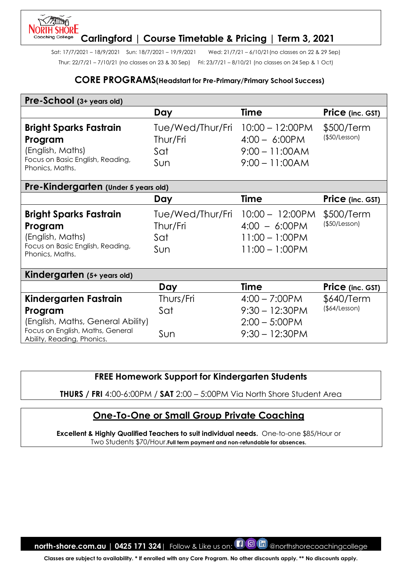#### **NORTH SHORE Carlingford | Course Timetable & Pricing | Term 3, 2021** Coachina College

Sat: 17/7/2021 – 18/9/2021 Sun: 18/7/2021 – 19/9/2021 Wed: 21/7/21 – 6/10/21(no classes on 22 & 29 Sep) Thur: 22/7/21 – 7/10/21 (no classes on 23 & 30 Sep) Fri: 23/7/21 – 8/10/21 (no classes on 24 Sep & 1 Oct)

## **CORE PROGRAMS(Headstart for Pre-Primary/Primary School Success)**

| Pre-School (3+ years old)                                                                                                               |                                            |                                                                                         |                             |
|-----------------------------------------------------------------------------------------------------------------------------------------|--------------------------------------------|-----------------------------------------------------------------------------------------|-----------------------------|
|                                                                                                                                         | Day                                        | <b>Time</b>                                                                             | Price (inc. GST)            |
| <b>Bright Sparks Fastrain</b><br>Program<br>(English, Maths)<br>Focus on Basic English, Reading,<br>Phonics, Maths.                     | Tue/Wed/Thur/Fri<br>Thur/Fri<br>Sat<br>Sun | $10:00 - 12:00$ PM<br>$4:00 - 6:00 \text{PM}$<br>$9:00 - 11:00AM$<br>$9:00 - 11:00AM$   | \$500/Term<br>(\$50/Lesson) |
| Pre-Kindergarten (Under 5 years old)                                                                                                    |                                            |                                                                                         |                             |
|                                                                                                                                         | Day                                        | <b>Time</b>                                                                             | Price (inc. GST)            |
| <b>Bright Sparks Fastrain</b><br>Program<br>(English, Maths)<br>Focus on Basic English, Reading,<br>Phonics, Maths.                     | Tue/Wed/Thur/Fri<br>Thur/Fri<br>Sat<br>Sun | $10:00 - 12:00$ PM<br>$4:00 - 6:00 \text{PM}$<br>$11:00 - 1:00$ PM<br>$11:00 - 1:00$ PM | \$500/Term<br>(\$50/Lesson) |
| Kindergarten (5+ years old)                                                                                                             |                                            |                                                                                         |                             |
|                                                                                                                                         | Day                                        | <b>Time</b>                                                                             | Price (inc. GST)            |
| Kindergarten Fastrain<br>Program<br>(English, Maths, General Ability)<br>Focus on English, Maths, General<br>Ability, Reading, Phonics. | Thurs/Fri<br>Sat<br>Sun                    | $4:00 - 7:00$ PM<br>$9:30 - 12:30$ PM<br>$2:00 - 5:00$ PM<br>$9:30 - 12:30$ PM          | \$640/Term<br>(§64/Lesson)  |

## **FREE Homework Support for Kindergarten Students**

**THURS / FRI** 4:00-6:00PM / **SAT** 2:00 – 5:00PM Via North Shore Student Area

## **One-To-One or Small Group Private Coaching**

**Excellent & Highly Qualified Teachers to suit individual needs.** One-to-one \$85/Hour or Two Students \$70/Hour.**Full term payment and non-refundable for absences.**

**north-shore.com.au | 0425 171 324** | Follow & Like us on: **[1 0 In** @northshorecoachingcollege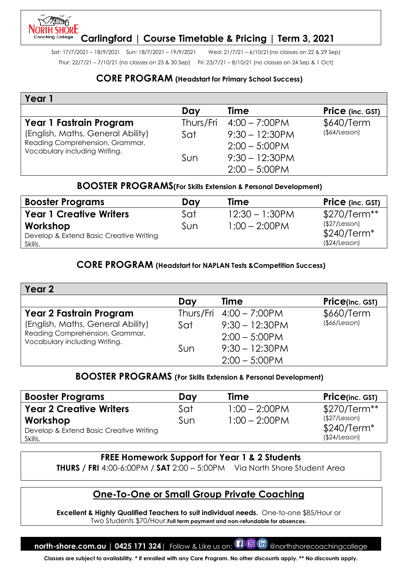# **Carlingford | Course Timetable & Pricing | Term 3, 2021**

Sat: 17/7/2021 – 18/9/2021 Sun: 18/7/2021 – 19/9/2021 Wed: 21/7/21 – 6/10/21(no classes on 22 & 29 Sep) Thur: 22/7/21 – 7/10/21 (no classes on 23 & 30 Sep) Fri: 23/7/21 – 8/10/21 (no classes on 24 Sep & 1 Oct)

## **CORE PROGRAM (Headstart for Primary School Success)**

| Year 1                                                           |     |                                   |                  |
|------------------------------------------------------------------|-----|-----------------------------------|------------------|
|                                                                  | Day | <b>Time</b>                       | Price (inc. GST) |
| Year 1 Fastrain Program                                          |     | Thurs/Fri $4:00 - 7:00 \text{PM}$ | \$640/Term       |
| (English, Maths, General Ability)                                | Sat | $9:30 - 12:30$ PM                 | (§64/Lesson)     |
| Reading Comprehension, Grammar,<br>Vocabulary including Writing. |     | $2:00 - 5:00$ PM                  |                  |
|                                                                  | Sun | $9:30 - 12:30$ PM                 |                  |
|                                                                  |     | $2:00 - 5:00$ PM                  |                  |

## **BOOSTER PROGRAMS(For Skills Extension & Personal Development)**

| <b>Booster Programs</b>                                        | Dav | <b>Time</b>       | <b>Price</b> (inc. GST)                        |
|----------------------------------------------------------------|-----|-------------------|------------------------------------------------|
| <b>Year 1 Creative Writers</b>                                 | Sat | $12:30 - 1:30$ PM | \$270/Term**                                   |
| Workshop<br>Develop & Extend Basic Creative Writing<br>Skills. | Sun | $1:00 - 2:00$ PM  | (\$27/Lesson)<br>$$240/Term*$<br>(\$24/Lesson) |

## **CORE PROGRAM (Headstart for NAPLAN Tests &Competition Success)**

| Year 2                                                           |     |                                   |                     |
|------------------------------------------------------------------|-----|-----------------------------------|---------------------|
|                                                                  | Day | <b>Time</b>                       | Price(inc. GST)     |
| <b>Year 2 Fastrain Program</b>                                   |     | Thurs/Fri $4:00 - 7:00 \text{PM}$ | \$660/Term          |
| (English, Maths, General Ability)                                | Sat | $9:30 - 12:30$ PM                 | $($ \$66/Lesson $)$ |
| Reading Comprehension, Grammar,<br>Vocabulary including Writing. |     | $2:00 - 5:00$ PM                  |                     |
|                                                                  | Sun | $9:30 - 12:30$ PM                 |                     |
|                                                                  |     | $2:00 - 5:00$ PM                  |                     |

#### **BOOSTER PROGRAMS (For Skills Extension & Personal Development)**

| <b>Booster Programs</b>                                        | Day | <b>Time</b>      | <b>Price(inc. GST)</b>                         |
|----------------------------------------------------------------|-----|------------------|------------------------------------------------|
| <b>Year 2 Creative Writers</b>                                 | Sat | $1:00 - 2:00$ PM | $$270/Term**$                                  |
| Workshop<br>Develop & Extend Basic Creative Writing<br>Skills. | Sun | $1:00 - 2:00$ PM | (\$27/Lesson)<br>$$240/Term*$<br>(\$24/Lesson) |

## **FREE Homework Support for Year 1 & 2 Students**

**THURS / FRI** 4:00-6:00PM / **SAT** 2:00 – 5:00PM Via North Shore Student Area

## **One-To-One or Small Group Private Coaching**

**Excellent & Highly Qualified Teachers to suit individual needs.** One-to-one \$85/Hour or Two Students \$70/Hour.**Full term payment and non-refundable for absences.**

**north-shore.com.au | 0425 171 324**| Follow & Like us on: **[1 @ had** @northshorecoachingcollege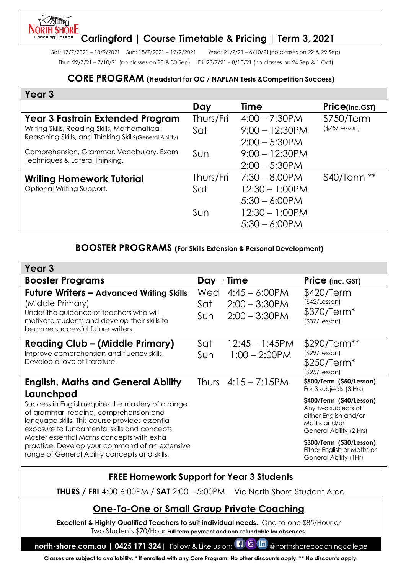#### **NORTH SHORE Carlingford | Course Timetable & Pricing | Term 3, 2021** Coachina College

Sat: 17/7/2021 – 18/9/2021 Sun: 18/7/2021 – 19/9/2021 Wed: 21/7/21 – 6/10/21(no classes on 22 & 29 Sep) Thur: 22/7/21 – 7/10/21 (no classes on 23 & 30 Sep) Fri: 23/7/21 – 8/10/21 (no classes on 24 Sep & 1 Oct)

## **CORE PROGRAM (Headstart for OC / NAPLAN Tests &Competition Success)**

| Year <sub>3</sub>                                       |           |                   |                |
|---------------------------------------------------------|-----------|-------------------|----------------|
|                                                         | Day       | Time              | Price(inc.GST) |
| <b>Year 3 Fastrain Extended Program</b>                 | Thurs/Fri | $4:00 - 7:30$ PM  | \$750/Term     |
| Writing Skills, Reading Skills, Mathematical            | Sat       | $9:00 - 12:30PM$  | (\$75/Lesson)  |
| Reasoning Skills, and Thinking Skills (General Ability) |           | $2:00 - 5:30$ PM  |                |
| Comprehension, Grammar, Vocabulary, Exam                | Sun       | $9:00 - 12:30PM$  |                |
| Techniques & Lateral Thinking.                          |           | $2:00 - 5:30$ PM  |                |
| <b>Writing Homework Tutorial</b>                        | Thurs/Fri | $7:30 - 8:00$ PM  | $$40/Term **$  |
| Optional Writing Support.                               | Sat       | $12:30 - 1:00$ PM |                |
|                                                         |           | $5:30 - 6:00$ PM  |                |
|                                                         | Sun       | $12:30 - 1:00$ PM |                |
|                                                         |           | $5:30 - 6:00$ PM  |                |

## **BOOSTER PROGRAMS (For Skills Extension & Personal Development)**

| Year <sub>3</sub>                                                                                                                                                                                            |                   |                                                          |                                                                                                                     |
|--------------------------------------------------------------------------------------------------------------------------------------------------------------------------------------------------------------|-------------------|----------------------------------------------------------|---------------------------------------------------------------------------------------------------------------------|
| <b>Booster Programs</b>                                                                                                                                                                                      | Day               | Time                                                     | Price (inc. GST)                                                                                                    |
| <b>Future Writers - Advanced Writing Skills</b><br>(Middle Primary)<br>Under the guidance of teachers who will<br>motivate students and develop their skills to<br>become successful future writers.         | Wed<br>Sat<br>Sun | $4:45 - 6:00$ PM<br>$2:00 - 3:30$ PM<br>$2:00 - 3:30$ PM | \$420/Term<br>(\$42/Lesson)<br>\$370/Term <sup>*</sup><br>(\$37/Lesson)                                             |
| <b>Reading Club - (Middle Primary)</b><br>Improve comprehension and fluency skills.<br>Develop a love of literature.                                                                                         | Sat<br>Sun        | $12:45 - 1:45$ PM<br>$1:00 - 2:00$ PM                    | \$290/Term**<br>(\$29/Lesson)<br>\$250/Term*<br>(\$25/Lesson)                                                       |
| <b>English, Maths and General Ability</b>                                                                                                                                                                    |                   | Thurs $4:15 - 7:15$ PM                                   | \$500/Term (\$50/Lesson)<br>For 3 subjects (3 Hrs)                                                                  |
| Launchpad<br>Success in English requires the mastery of a range<br>of grammar, reading, comprehension and<br>language skills. This course provides essential<br>exposure to fundamental skills and concepts. |                   |                                                          | \$400/Term (\$40/Lesson)<br>Any two subjects of<br>either English and/or<br>Maths and/or<br>General Ability (2 Hrs) |
| Master essential Maths concepts with extra<br>practice. Develop your command of an extensive<br>range of General Ability concepts and skills.                                                                |                   |                                                          | \$300/Term (\$30/Lesson)<br>Either English or Maths or<br>General Ability (1Hr)                                     |

## **FREE Homework Support for Year 3 Students**

**THURS / FRI** 4:00-6:00PM / **SAT** 2:00 – 5:00PM Via North Shore Student Area

# **One-To-One or Small Group Private Coaching**

**Excellent & Highly Qualified Teachers to suit individual needs.** One-to-one \$85/Hour or Two Students \$70/Hour.**Full term payment and non-refundable for absences.**

**north-shore.com.au | 0425 171 324**| Follow & Like us on:  $\Box$  @ In @northshorecoachingcollege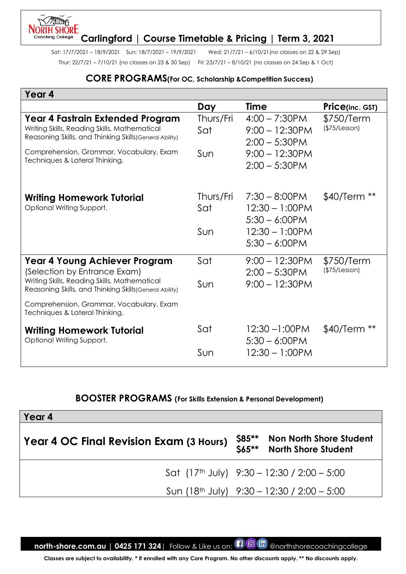#### **JORTH SHORE Carlingford | Course Timetable & Pricing | Term 3, 2021**

Thur: 22/7/21 – 7/10/21 (no classes on 23 & 30 Sep) Fri: 23/7/21 – 8/10/21 (no classes on 24 Sep & 1 Oct)

Coachina College

Sat: 17/7/2021 – 18/9/2021 Sun: 18/7/2021 – 19/9/2021 Wed: 21/7/21 – 6/10/21(no classes on 22 & 29 Sep)

#### **CORE PROGRAMS(For OC, Scholarship &Competition Success)**

| Year 4                                                                                                                                      |                  |                                                           |                             |
|---------------------------------------------------------------------------------------------------------------------------------------------|------------------|-----------------------------------------------------------|-----------------------------|
|                                                                                                                                             | Day              | <b>Time</b>                                               | Price(inc. GST)             |
| Year 4 Fastrain Extended Program<br>Writing Skills, Reading Skills, Mathematical<br>Reasoning Skills, and Thinking Skills (General Ability) | Thurs/Fri<br>Sat | $4:00 - 7:30$ PM<br>$9:00 - 12:30$ PM<br>$2:00 - 5:30$ PM | \$750/Term<br>(\$75/Lesson) |
| Comprehension, Grammar, Vocabulary, Exam<br>Techniques & Lateral Thinking.                                                                  | Sun              | $9:00 - 12:30$ PM<br>$2:00 - 5:30$ PM                     |                             |
| Writing Homework Tutorial<br>Optional Writing Support.                                                                                      | Thurs/Fri<br>Sat | $7:30 - 8:00$ PM<br>$12:30 - 1:00$ PM<br>$5:30 - 6:00PM$  | $$40/Term **$               |
|                                                                                                                                             | Sun              | $12:30 - 1:00$ PM<br>$5:30 - 6:00$ PM                     |                             |
| <b>Year 4 Young Achiever Program</b><br>(Selection by Entrance Exam)                                                                        | Sat              | $9:00 - 12:30PM$<br>$2:00 - 5:30$ PM                      | \$750/Term<br>(\$75/Lesson) |
| Writing Skills, Reading Skills, Mathematical<br>Reasoning Skills, and Thinking Skills (General Ability)                                     | Sun              | $9:00 - 12:30$ PM                                         |                             |
| Comprehension, Grammar, Vocabulary, Exam<br>Techniques & Lateral Thinking.                                                                  |                  |                                                           |                             |
| <b>Writing Homework Tutorial</b><br>Optional Writing Support.                                                                               | Sat              | $12:30 - 1:00$ PM<br>$5:30 - 6:00PM$                      | \$40/Term                   |
|                                                                                                                                             | Sun              | $12:30 - 1:00$ PM                                         |                             |

## **BOOSTER PROGRAMS (For Skills Extension & Personal Development)**

| Year 4                                  |                  |                                                              |
|-----------------------------------------|------------------|--------------------------------------------------------------|
| Year 4 OC Final Revision Exam (3 Hours) | \$85**<br>\$65** | <b>Non North Shore Student</b><br><b>North Shore Student</b> |
|                                         |                  | Sat $(17th$ July) $9:30 - 12:30 / 2:00 - 5:00$               |
|                                         |                  | Sun (18 <sup>th</sup> July) $9:30 - 12:30 / 2:00 - 5:00$     |

**north-shore.com.au | 0425 171 324** | Follow & Like us on: **[1 0 In** @northshorecoachingcollege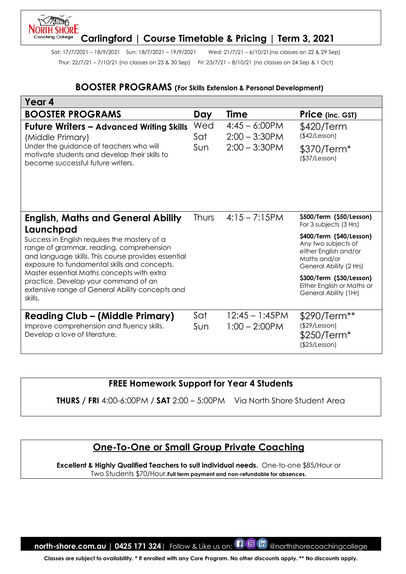#### **NORTH SHORE Carlingford | Course Timetable & Pricing | Term 3, 2021** Coachina College

Sat: 17/7/2021 – 18/9/2021 Sun: 18/7/2021 – 19/9/2021 Wed: 21/7/21 – 6/10/21(no classes on 22 & 29 Sep) Thur: 22/7/21 – 7/10/21 (no classes on 23 & 30 Sep) Fri: 23/7/21 – 8/10/21 (no classes on 24 Sep & 1 Oct)

#### **BOOSTER PROGRAMS (For Skills Extension & Personal Development)**

| Year 4                                                                                                                                                                                                       |              |                                       |                                                                                                                     |
|--------------------------------------------------------------------------------------------------------------------------------------------------------------------------------------------------------------|--------------|---------------------------------------|---------------------------------------------------------------------------------------------------------------------|
| <b>BOOSTER PROGRAMS</b>                                                                                                                                                                                      | Day          | <b>Time</b>                           | Price (inc. GST)                                                                                                    |
| <b>Future Writers - Advanced Writing Skills</b><br>(Middle Primary)                                                                                                                                          | Wed<br>Sat   | $4:45 - 6:00$ PM<br>$2:00 - 3:30$ PM  | \$420/Term<br>(\$42/Lesson)                                                                                         |
| Under the guidance of teachers who will<br>motivate students and develop their skills to<br>become successful future writers.                                                                                | Sun          | $2:00 - 3:30$ PM                      | \$370/Term <sup>*</sup><br>(\$37/Lesson)                                                                            |
| <b>English, Maths and General Ability</b>                                                                                                                                                                    | <b>Thurs</b> | $4:15 - 7:15$ PM                      | \$500/Term (\$50/Lesson)<br>For 3 subjects (3 Hrs)                                                                  |
| Launchpad<br>Success in English requires the mastery of a<br>range of grammar, reading, comprehension<br>and language skills. This course provides essential<br>exposure to fundamental skills and concepts. |              |                                       | \$400/Term (\$40/Lesson)<br>Any two subjects of<br>either English and/or<br>Maths and/or<br>General Ability (2 Hrs) |
| Master essential Maths concepts with extra<br>practice. Develop your command of an<br>extensive range of General Ability concepts and<br>skills.                                                             |              |                                       | \$300/Term (\$30/Lesson)<br>Either English or Maths or<br>General Ability (1Hr)                                     |
| <b>Reading Club – (Middle Primary)</b><br>Improve comprehension and fluency skills.<br>Develop a love of literature.                                                                                         | Sat<br>Sun   | $12:45 - 1:45$ PM<br>$1:00 - 2:00$ PM | \$290/Term**<br>(\$29/Lesson)<br>$$250/Term*$<br>(\$25/Lesson)                                                      |

**FREE Homework Support for Year 4 Students**

**THURS / FRI** 4:00-6:00PM / **SAT** 2:00 – 5:00PM Via North Shore Student Area

# **One-To-One or Small Group Private Coaching**

**Excellent & Highly Qualified Teachers to suit individual needs.** One-to-one \$85/Hour or Two Students \$70/Hour.**Full term payment and non-refundable for absences.**

**north-shore.com.au | 0425 171 324** | Follow & Like us on: **[1 0 In** @northshorecoachingcollege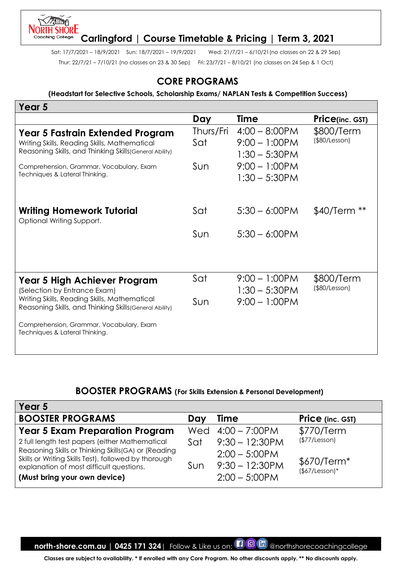#### **JORTH SHORE Carlingford | Course Timetable & Pricing | Term 3, 2021**

Sat: 17/7/2021 – 18/9/2021 Sun: 18/7/2021 – 19/9/2021 Wed: 21/7/21 – 6/10/21(no classes on 22 & 29 Sep) Thur: 22/7/21 – 7/10/21 (no classes on 23 & 30 Sep) Fri: 23/7/21 – 8/10/21 (no classes on 24 Sep & 1 Oct)

Coachina College

## **CORE PROGRAMS**

#### **(Headstart for Selective Schools, Scholarship Exams/ NAPLAN Tests & Competition Success)**

| Year 5                                                                                                                                      |                  |                                                          |                                   |
|---------------------------------------------------------------------------------------------------------------------------------------------|------------------|----------------------------------------------------------|-----------------------------------|
|                                                                                                                                             | Day              | <b>Time</b>                                              | <b>Price(inc. GST)</b>            |
| Year 5 Fastrain Extended Program<br>Writing Skills, Reading Skills, Mathematical<br>Reasoning Skills, and Thinking Skills (General Ability) | Thurs/Fri<br>Sat | $4:00 - 8:00$ PM<br>$9:00 - 1:00$ PM<br>$1:30 - 5:30$ PM | \$800/Term<br>(\$80/Lesson)       |
| Comprehension, Grammar, Vocabulary, Exam<br>Techniques & Lateral Thinking.                                                                  | Sun              | $9:00 - 1:00$ PM<br>$1:30 - 5:30$ PM                     |                                   |
| Writing Homework Tutorial<br>Optional Writing Support.                                                                                      | Sat              | $5:30 - 6:00$ PM                                         | \$40/Term                         |
|                                                                                                                                             | Sun              | $5:30 - 6:00$ PM                                         |                                   |
| Year 5 High Achiever Program<br>(Selection by Entrance Exam)                                                                                | Sat              | $9:00 - 1:00$ PM<br>$1:30 - 5:30$ PM                     | \$800/Term<br>$($ \$80/Lesson $)$ |
| Writing Skills, Reading Skills, Mathematical<br>Reasoning Skills, and Thinking Skills (General Ability)                                     | Sun              | $9:00 - 1:00$ PM                                         |                                   |
| Comprehension, Grammar, Vocabulary, Exam<br>Techniques & Lateral Thinking.                                                                  |                  |                                                          |                                   |

#### **BOOSTER PROGRAMS (For Skills Extension & Personal Development)**

| Year 5                                                                                                                                                                                                                                    |            |                                                                                |                                                 |
|-------------------------------------------------------------------------------------------------------------------------------------------------------------------------------------------------------------------------------------------|------------|--------------------------------------------------------------------------------|-------------------------------------------------|
| <b>BOOSTER PROGRAMS</b>                                                                                                                                                                                                                   | Day        | <b>Time</b>                                                                    | <b>Price</b> (inc. GST)                         |
| <b>Year 5 Exam Preparation Program</b>                                                                                                                                                                                                    |            | Wed $4:00 - 7:00$ PM                                                           | \$770/Term                                      |
| 2 full length test papers (either Mathematical<br>Reasoning Skills or Thinking Skills(GA) or (Reading<br>Skills or Writing Skills Test), followed by thorough<br>explanation of most difficult questions.<br>(Must bring your own device) | Sat<br>Sun | $9:30 - 12:30$ PM<br>$2:00 - 5:00$ PM<br>$9:30 - 12:30$ PM<br>$2:00 - 5:00$ PM | (\$77/Lesson)<br>$$670/Term*$<br>$($7/Lesson)*$ |

**north-shore.com.au | 0425 171 324**| Follow & Like us on: **[1 0 In** @northshorecoachingcollege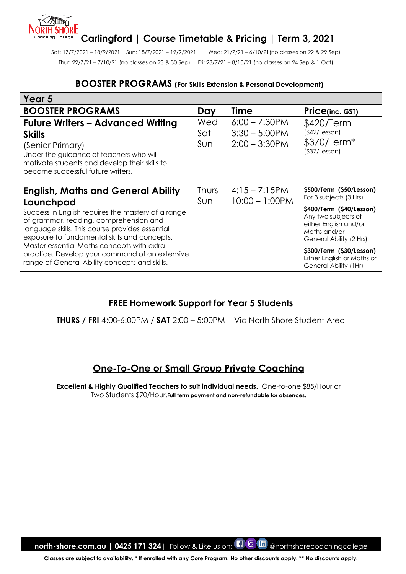#### **ORTH SHORE Carlingford | Course Timetable & Pricing | Term 3, 2021**

Sat: 17/7/2021 – 18/9/2021 Sun: 18/7/2021 – 19/9/2021 Wed: 21/7/21 – 6/10/21(no classes on 22 & 29 Sep) Thur: 22/7/21 – 7/10/21 (no classes on 23 & 30 Sep) Fri: 23/7/21 – 8/10/21 (no classes on 24 Sep & 1 Oct)

Coachina College

#### **BOOSTER PROGRAMS (For Skills Extension & Personal Development)**

| Year 5                                                                                                                                                                                                                                                     |                     |                                                          |                                                                                                                     |
|------------------------------------------------------------------------------------------------------------------------------------------------------------------------------------------------------------------------------------------------------------|---------------------|----------------------------------------------------------|---------------------------------------------------------------------------------------------------------------------|
| <b>BOOSTER PROGRAMS</b>                                                                                                                                                                                                                                    | Day                 | <b>Time</b>                                              | <b>Price(inc. GST)</b>                                                                                              |
| <b>Future Writers - Advanced Writing</b><br><b>Skills</b><br>(Senior Primary)<br>Under the guidance of teachers who will<br>motivate students and develop their skills to<br>become successful future writers.                                             | Wed<br>Sat<br>Sun   | $6:00 - 7:30$ PM<br>$3:30 - 5:00$ PM<br>$2:00 - 3:30$ PM | \$420/Term<br>(\$42/Lesson)<br>\$370/Term*<br>$($ \$37/Lesson $)$                                                   |
| <b>English, Maths and General Ability</b>                                                                                                                                                                                                                  | Thurs<br><b>Sun</b> | $4:15 - 7:15$ PM<br>$10:00 - 1:00$ PM                    | \$500/Term (\$50/Lesson)<br>For 3 subjects (3 Hrs)                                                                  |
| Launchpad<br>Success in English requires the mastery of a range<br>of grammar, reading, comprehension and<br>language skills. This course provides essential<br>exposure to fundamental skills and concepts.<br>Master essential Maths concepts with extra |                     |                                                          | \$400/Term (\$40/Lesson)<br>Any two subjects of<br>either English and/or<br>Maths and/or<br>General Ability (2 Hrs) |
| practice. Develop your command of an extensive<br>range of General Ability concepts and skills.                                                                                                                                                            |                     |                                                          | \$300/Term (\$30/Lesson)<br>Either English or Maths or<br>General Ability (1Hr)                                     |

## **FREE Homework Support for Year 5 Students**

**THURS / FRI** 4:00-6:00PM / **SAT** 2:00 – 5:00PM Via North Shore Student Area

# **One-To-One or Small Group Private Coaching**

**Excellent & Highly Qualified Teachers to suit individual needs.** One-to-one \$85/Hour or Two Students \$70/Hour.**Full term payment and non-refundable for absences.**

**north-shore.com.au | 0425 171 324** | Follow & Like us on: **[1 0 In** @northshorecoachingcollege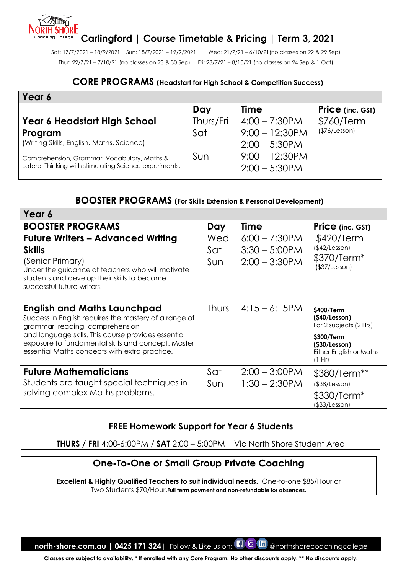# **Carlingford | Course Timetable & Pricing | Term 3, 2021**

Sat: 17/7/2021 – 18/9/2021 Sun: 18/7/2021 – 19/9/2021 Wed: 21/7/21 – 6/10/21(no classes on 22 & 29 Sep) Thur: 22/7/21 – 7/10/21 (no classes on 23 & 30 Sep) Fri: 23/7/21 – 8/10/21 (no classes on 24 Sep & 1 Oct)

#### **CORE PROGRAMS (Headstart for High School & Competition Success)**

| Year 6                                                                                                |           |                                       |                         |
|-------------------------------------------------------------------------------------------------------|-----------|---------------------------------------|-------------------------|
|                                                                                                       | Day       | <b>Time</b>                           | <b>Price</b> (inc. GST) |
| Year 6 Headstart High School                                                                          | Thurs/Fri | $4:00 - 7:30$ PM                      | \$760/Term              |
| Program                                                                                               | Sat       | $9:00 - 12:30PM$                      | (\$76/Lesson)           |
| (Writing Skills, English, Maths, Science)                                                             |           | $2:00 - 5:30$ PM                      |                         |
| Comprehension, Grammar, Vocabulary, Maths &<br>Lateral Thinking with stimulating Science experiments. | Sun       | $9:00 - 12:30$ PM<br>$2:00 - 5:30$ PM |                         |

## **BOOSTER PROGRAMS (For Skills Extension & Personal Development)**

| Year 6                                                                                                                                                                                                         |                   |                                                          |                                                                  |
|----------------------------------------------------------------------------------------------------------------------------------------------------------------------------------------------------------------|-------------------|----------------------------------------------------------|------------------------------------------------------------------|
| <b>BOOSTER PROGRAMS</b>                                                                                                                                                                                        | Day               | Time                                                     | Price (inc. GST)                                                 |
| <b>Future Writers - Advanced Writing</b><br><b>Skills</b><br>(Senior Primary)<br>Under the guidance of teachers who will motivate<br>students and develop their skills to become<br>successful future writers. | Wed<br>Sat<br>Sun | $6:00 - 7:30$ PM<br>$3:30 - 5:00$ PM<br>$2:00 - 3:30$ PM | \$420/Term<br>(\$42/Lesson)<br>\$370/Term*<br>(\$37/Lesson)      |
| <b>English and Maths Launchpad</b><br>Success in English requires the mastery of a range of<br>grammar, reading, comprehension                                                                                 | <b>Thurs</b>      | $4:15 - 6:15$ PM                                         | \$400/Term<br>(S40/Lesson)<br>For 2 subjects (2 Hrs)             |
| and language skills. This course provides essential<br>exposure to fundamental skills and concept. Master<br>essential Maths concepts with extra practice.                                                     |                   |                                                          | \$300/Term<br>(\$30/Lesson)<br>Either English or Maths<br>(1 Hr) |
| <b>Future Mathematicians</b>                                                                                                                                                                                   | Sat               | $2:00 - 3:00$ PM                                         | \$380/Term**                                                     |
| Students are taught special techniques in                                                                                                                                                                      | Sun               | $1:30 - 2:30$ PM                                         | $($ \$38/Lesson $)$                                              |
| solving complex Maths problems.                                                                                                                                                                                |                   |                                                          | \$330/Term <sup>*</sup><br>(\$33/Lesson)                         |

## **FREE Homework Support for Year 6 Students**

**THURS / FRI** 4:00-6:00PM / **SAT** 2:00 – 5:00PM Via North Shore Student Area

## **One-To-One or Small Group Private Coaching**

**Excellent & Highly Qualified Teachers to suit individual needs.** One-to-one \$85/Hour or Two Students \$70/Hour.**Full term payment and non-refundable for absences.**

**north-shore.com.au | 0425 171 324** | Follow & Like us on: **[1 0 In** @northshorecoachingcollege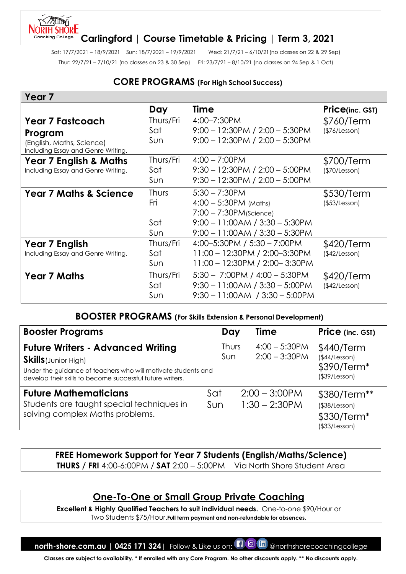## **JORTH SHORE Carlingford | Course Timetable & Pricing | Term 3, 2021**

Sat: 17/7/2021 – 18/9/2021 Sun: 18/7/2021 – 19/9/2021 Wed: 21/7/21 – 6/10/21(no classes on 22 & 29 Sep) Thur: 22/7/21 – 7/10/21 (no classes on 23 & 30 Sep) Fri: 23/7/21 – 8/10/21 (no classes on 24 Sep & 1 Oct)

## **CORE PROGRAMS (For High School Success)**

| Year <sub>7</sub>                                               |              |                                     |                 |
|-----------------------------------------------------------------|--------------|-------------------------------------|-----------------|
|                                                                 | Day          | Time                                | Price(inc. GST) |
| <b>Year 7 Fastcoach</b>                                         | Thurs/Fri    | 4:00-7:30PM                         | \$760/Term      |
| Program                                                         | Sat          | $9:00 - 12:30PM / 2:00 - 5:30PM$    | (\$76/Lesson)   |
| (English, Maths, Science)<br>Including Essay and Genre Writing. | Sun.         | $9:00 - 12:30PM / 2:00 - 5:30PM$    |                 |
| <b>Year 7 English &amp; Maths</b>                               | Thurs/Fri    | $4:00 - 7:00$ PM                    | \$700/Term      |
| Including Essay and Genre Writing.                              | Sat          | $9:30 - 12:30PM / 2:00 - 5:00PM$    | (\$70/Lesson)   |
|                                                                 | Sun          | $9:30 - 12:30PM / 2:00 - 5:00PM$    |                 |
| <b>Year 7 Maths &amp; Science</b>                               | <b>Thurs</b> | $5:30 - 7:30$ PM                    | \$530/Term      |
|                                                                 | Fri          | $4:00 - 5:30PM$ (Maths)             | (\$53/Lesson)   |
|                                                                 |              | $7:00 - 7:30PM$ (Science)           |                 |
|                                                                 | Sat          | $9:00 - 11:00AM / 3:30 - 5:30PM$    |                 |
|                                                                 | Sun          | $9:00 - 11:00AM / 3:30 - 5:30PM$    |                 |
| <b>Year 7 English</b>                                           | Thurs/Fri    | 4:00-5:30PM / 5:30 - 7:00PM         | \$420/Term      |
| Including Essay and Genre Writing.                              | Sat          | 11:00 - 12:30PM / 2:00-3:30PM       | (\$42/Lesson)   |
|                                                                 | Sun          | 11:00 - 12:30PM / 2:00-3:30PM       |                 |
| <b>Year 7 Maths</b>                                             | Thurs/Fri    | $5:30 - 7:00$ PM / $4:00 - 5:30$ PM | \$420/Term      |
|                                                                 | Sat          | $9:30 - 11:00AM / 3:30 - 5:00PM$    | (\$42/Lesson)   |
|                                                                 | Sun          | $9:30 - 11:00AM$ / $3:30 - 5:00PM$  |                 |

## **BOOSTER PROGRAMS (For Skills Extension & Personal Development)**

| <b>Booster Programs</b>                                                                                                                                                                               | Day          | <b>Time</b>                          | <b>Price</b> (inc. GST)                                       |
|-------------------------------------------------------------------------------------------------------------------------------------------------------------------------------------------------------|--------------|--------------------------------------|---------------------------------------------------------------|
| <b>Future Writers - Advanced Writing</b><br><b>Skills</b> (Junior High)<br>Under the guidance of teachers who will motivate students and<br>develop their skills to become successful future writers. | Thurs<br>Sun | $4:00 - 5:30$ PM<br>$2:00 - 3:30$ PM | \$440/Term<br>(\$44/Lesson)<br>\$390/Term*<br>(\$39/Lesson)   |
| <b>Future Mathematicians</b><br>Students are taught special techniques in<br>solving complex Maths problems.                                                                                          | Sat<br>Sun   | $2:00 - 3:00$ PM<br>$1:30 - 2:30$ PM | \$380/Term**<br>(\$38/Lesson)<br>\$330/Term*<br>(\$33/Lesson) |

#### **FREE Homework Support for Year 7 Students (English/Maths/Science) THURS / FRI** 4:00-6:00PM / **SAT** 2:00 – 5:00PM Via North Shore Student Area

# **One-To-One or Small Group Private Coaching**

**Excellent & Highly Qualified Teachers to suit individual needs.** One-to-one \$90/Hour or Two Students \$75/Hour.**Full term payment and non-refundable for absences.**

**north-shore.com.au | 0425 171 324**| Follow & Like us on:  $\Box$  @ In @northshorecoachingcollege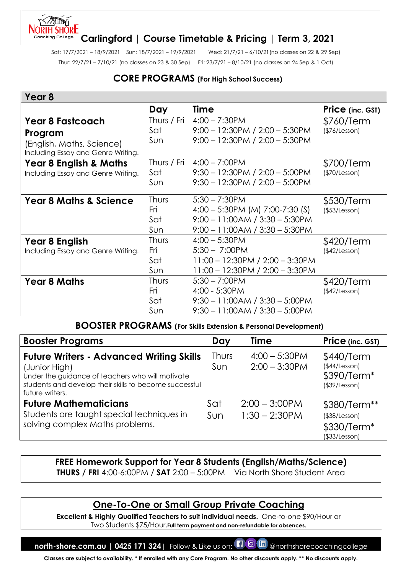#### NORTH SHŌRE **Carlingford | Course Timetable & Pricing | Term 3, 2021** Coachina College

Sat: 17/7/2021 – 18/9/2021 Sun: 18/7/2021 – 19/9/2021 Wed: 21/7/21 – 6/10/21(no classes on 22 & 29 Sep) Thur: 22/7/21 – 7/10/21 (no classes on 23 & 30 Sep) Fri: 23/7/21 – 8/10/21 (no classes on 24 Sep & 1 Oct)

## **CORE PROGRAMS (For High School Success)**

## **Year 8**

יאחור

|                                                                                                       | Day                               | Time                                                                                                                      | <b>Price</b> (inc. GST)     |
|-------------------------------------------------------------------------------------------------------|-----------------------------------|---------------------------------------------------------------------------------------------------------------------------|-----------------------------|
| <b>Year 8 Fastcoach</b><br>Program<br>(English, Maths, Science)<br>Including Essay and Genre Writing. | Thurs / Fri<br>Sat<br>Sun         | $4:00 - 7:30$ PM<br>$9:00 - 12:30PM / 2:00 - 5:30PM$<br>$9:00 - 12:30PM / 2:00 - 5:30PM$                                  | \$760/Term<br>(\$76/Lesson) |
| <b>Year 8 English &amp; Maths</b><br>Including Essay and Genre Writing.                               | Thurs / Fri<br>Sat<br>Sun         | $4:00 - 7:00$ PM<br>$9:30 - 12:30PM / 2:00 - 5:00PM$<br>$9:30 - 12:30PM / 2:00 - 5:00PM$                                  | \$700/Term<br>(\$70/Lesson) |
| <b>Year 8 Maths &amp; Science</b>                                                                     | <b>Thurs</b><br>Fri<br>Sat<br>Sun | $5:30 - 7:30$ PM<br>4:00 - 5:30PM (M) 7:00-7:30 (S)<br>$9:00 - 11:00AM / 3:30 - 5:30PM$<br>9:00 - 11:00AM / 3:30 - 5:30PM | \$530/Term<br>(\$53/Lesson) |
| Year 8 English<br>Including Essay and Genre Writing.                                                  | <b>Thurs</b><br>Fri<br>Sat<br>Sun | $4:00 - 5:30$ PM<br>$5:30 - 7:00$ PM<br>$11:00 - 12:30$ PM / $2:00 - 3:30$ PM<br>$11:00 - 12:30$ PM / $2:00 - 3:30$ PM    | \$420/Term<br>(\$42/Lesson) |
| <b>Year 8 Maths</b>                                                                                   | <b>Thurs</b><br>Fri<br>Sat<br>Sun | $5:30 - 7:00$ PM<br>4:00 - 5:30PM<br>$9:30 - 11:00AM / 3:30 - 5:00PM$<br>$9:30 - 11:00AM / 3:30 - 5:00PM$                 | \$420/Term<br>(\$42/Lesson) |

#### **BOOSTER PROGRAMS (For Skills Extension & Personal Development)**

| <b>Booster Programs</b>                                                                                                                                                                           | Day                 | <b>Time</b>                          | Price (inc. GST)                                              |
|---------------------------------------------------------------------------------------------------------------------------------------------------------------------------------------------------|---------------------|--------------------------------------|---------------------------------------------------------------|
| <b>Future Writers - Advanced Writing Skills</b><br>(Junior High)<br>Under the guidance of teachers who will motivate<br>students and develop their skills to become successful<br>future writers. | <b>Thurs</b><br>Sun | $4:00 - 5:30$ PM<br>$2:00 - 3:30$ PM | \$440/Term<br>(\$44/Lesson)<br>\$390/Term*<br>(\$39/Lesson)   |
| <b>Future Mathematicians</b><br>Students are taught special techniques in<br>solving complex Maths problems.                                                                                      | Sat<br>Sun          | $2:00 - 3:00$ PM<br>$1:30 - 2:30$ PM | \$380/Term**<br>(\$38/Lesson)<br>\$330/Term*<br>(\$33/Lesson) |

**FREE Homework Support for Year 8 Students (English/Maths/Science)** 

**THURS / FRI** 4:00-6:00PM / **SAT** 2:00 – 5:00PM Via North Shore Student Area

# **One-To-One or Small Group Private Coaching**

**Excellent & Highly Qualified Teachers to suit individual needs.** One-to-one \$90/Hour or Two Students \$75/Hour.**Full term payment and non-refundable for absences.**

**north-shore.com.au | 0425 171 324**| Follow & Like us on:  $\Box$  @ In @northshorecoachingcollege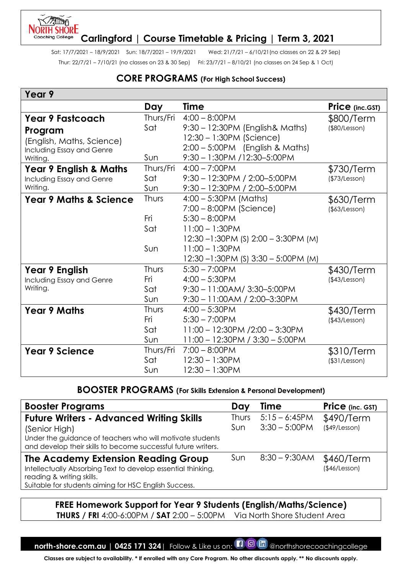#### **NORTH SHORE Carlingford | Course Timetable & Pricing | Term 3, 2021**

Sat: 17/7/2021 – 18/9/2021 Sun: 18/7/2021 – 19/9/2021 Wed: 21/7/21 – 6/10/21(no classes on 22 & 29 Sep) Thur: 22/7/21 – 7/10/21 (no classes on 23 & 30 Sep) Fri: 23/7/21 – 8/10/21 (no classes on 24 Sep & 1 Oct)

## **CORE PROGRAMS (For High School Success)**

## **Year 9**

|                                   | Day          | <b>Time</b>                                | Price (inc.GST) |
|-----------------------------------|--------------|--------------------------------------------|-----------------|
| <b>Year 9 Fastcoach</b>           | Thurs/Fri    | $4:00 - 8:00$ PM                           | \$800/Term      |
| Program                           | Sat          | 9:30 - 12:30PM (English & Maths)           | (\$80/Lesson)   |
| (English, Maths, Science)         |              | 12:30 - 1:30PM (Science)                   |                 |
| Including Essay and Genre         |              | 2:00 - 5:00PM (English & Maths)            |                 |
| Writing.                          | Sun          | 9:30 - 1:30PM /12:30-5:00PM                |                 |
| <b>Year 9 English &amp; Maths</b> | Thurs/Fri    | $4:00 - 7:00$ PM                           | \$730/Term      |
| Including Essay and Genre         | Sat          | $9:30 - 12:30PM / 2:00 - 5:00PM$           | (\$73/Lesson)   |
| Writing.                          | Sun          | $9:30 - 12:30PM / 2:00 - 5:00PM$           |                 |
| <b>Year 9 Maths &amp; Science</b> | Thurs        | $4:00 - 5:30PM$ (Maths)                    | \$630/Term      |
|                                   |              | $7:00 - 8:00$ PM (Science)                 | (\$3/Lesson)    |
|                                   | Fri          | $5:30 - 8:00$ PM                           |                 |
|                                   | Sat          | $11:00 - 1:30$ PM                          |                 |
|                                   |              | 12:30 – 1:30 PM (S) 2:00 – 3:30 PM (M)     |                 |
|                                   | Sun          | $11:00 - 1:30PM$                           |                 |
|                                   |              | $12:30 - 1:30$ PM (S) $3:30 - 5:00$ PM (M) |                 |
| Year 9 English                    | <b>Thurs</b> | $5:30 - 7:00$ PM                           | \$430/Term      |
| Including Essay and Genre         | Fri          | $4:00 - 5:30$ PM                           | (\$43/Lesson)   |
| Writing.                          | Sat          | $9:30 - 11:00AM/3:30 - 5:00PM$             |                 |
|                                   | Sun          | 9:30 - 11:00 AM / 2:00-3:30 PM             |                 |
| <b>Year 9 Maths</b>               | <b>Thurs</b> | $4:00 - 5:30$ PM                           | \$430/Term      |
|                                   | Fri          | $5:30 - 7:00$ PM                           | (\$43/Lesson)   |
|                                   | Sat          | $11:00 - 12:30$ PM $/2:00 - 3:30$ PM       |                 |
|                                   | Sun          | $11:00 - 12:30PM / 3:30 - 5:00PM$          |                 |
| <b>Year 9 Science</b>             | Thurs/Fri    | $7:00 - 8:00$ PM                           | \$310/Term      |
|                                   | Sat          | $12:30 - 1:30$ PM                          | (\$31/Lesson)   |
|                                   | Sun          | $12:30 - 1:30$ PM                          |                 |

## **BOOSTER PROGRAMS (For Skills Extension & Personal Development)**

| <b>Booster Programs</b>                                                                                                                                                                          | Day                 | Time                                | Price (inc. GST)                  |
|--------------------------------------------------------------------------------------------------------------------------------------------------------------------------------------------------|---------------------|-------------------------------------|-----------------------------------|
| <b>Future Writers - Advanced Writing Skills</b><br>(Senior High)<br>Under the guidance of teachers who will motivate students<br>and develop their skills to become successful future writers.   | <b>Thurs</b><br>Sun | $5:15 - 6:45PM$<br>$3:30 - 5:00$ PM | \$490/Term<br>$($ \$49/Lesson $)$ |
| <b>The Academy Extension Reading Group</b><br>Intellectually Absorbing Text to develop essential thinking,<br>reading & writing skills.<br>Suitable for students aiming for HSC English Success. | Sun                 | $8:30 - 9:30$ AM                    | \$460/Term<br>(\$46/Lesson)       |

# **FREE Homework Support for Year 9 Students (English/Maths/Science)**

**THURS / FRI** 4:00-6:00PM / **SAT** 2:00 – 5:00PM Via North Shore Student Area

**north-shore.com.au | 0425 171 324**| Follow & Like us on: **[1 0 In** @northshorecoachingcollege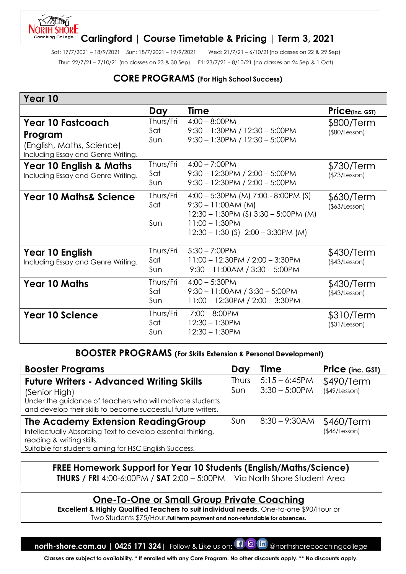## **ORTH SHORE Carlingford | Course Timetable & Pricing | Term 3, 2021**

Sat: 17/7/2021 – 18/9/2021 Sun: 18/7/2021 – 19/9/2021 Wed: 21/7/21 – 6/10/21(no classes on 22 & 29 Sep) Thur: 22/7/21 – 7/10/21 (no classes on 23 & 30 Sep) Fri: 23/7/21 – 8/10/21 (no classes on 24 Sep & 1 Oct)

## **CORE PROGRAMS (For High School Success)**

| Year 10                                                                                                |                         |                                                                                                                                                                          |                                   |
|--------------------------------------------------------------------------------------------------------|-------------------------|--------------------------------------------------------------------------------------------------------------------------------------------------------------------------|-----------------------------------|
|                                                                                                        | Day                     | <b>Time</b>                                                                                                                                                              | $Price_{(inc. GST)}$              |
| <b>Year 10 Fastcoach</b><br>Program<br>(English, Maths, Science)<br>Including Essay and Genre Writing. | Thurs/Fri<br>Sat<br>Sun | $4:00 - 8:00$ PM<br>$9:30 - 1:30$ PM / 12:30 - 5:00PM<br>$9:30 - 1:30$ PM / $12:30 - 5:00$ PM                                                                            | \$800/Term<br>(\$80/Lesson)       |
| <b>Year 10 English &amp; Maths</b><br>Including Essay and Genre Writing.                               | Thurs/Fri<br>Sat<br>Sun | $4:00 - 7:00$ PM<br>$9:30 - 12:30PM / 2:00 - 5:00PM$<br>$9:30 - 12:30PM / 2:00 - 5:00PM$                                                                                 | \$730/Term<br>(\$73/Lesson)       |
| <b>Year 10 Maths&amp; Science</b>                                                                      | Thurs/Fri<br>Sat<br>Sun | 4:00 - 5:30PM (M) 7:00 - 8:00PM (S)<br>$9:30 - 11:00AM(M)$<br>$12:30 - 1:30$ PM (S) $3:30 - 5:00$ PM (M)<br>$11:00 - 1:30$ PM<br>$12:30 - 1:30$ (S) $2:00 - 3:30$ PM (M) | \$630/Term<br>(\$63/Lesson)       |
| Year 10 English<br>Including Essay and Genre Writing.                                                  | Thurs/Fri<br>Sat<br>Sun | $5:30 - 7:00$ PM<br>$11:00 - 12:30PM / 2:00 - 3:30PM$<br>$9:30 - 11:00AM / 3:30 - 5:00PM$                                                                                | \$430/Term<br>(\$43/Lesson)       |
| <b>Year 10 Maths</b>                                                                                   | Thurs/Fri<br>Sat<br>Sun | $4:00 - 5:30$ PM<br>$9:30 - 11:00AM / 3:30 - 5:00PM$<br>$11:00 - 12:30PM / 2:00 - 3:30PM$                                                                                | \$430/Term<br>(\$43/Lesson)       |
| <b>Year 10 Science</b>                                                                                 | Thurs/Fri<br>Sat<br>Sun | $7:00 - 8:00$ PM<br>$12:30 - 1:30$ PM<br>$12:30 - 1:30$ PM                                                                                                               | \$310/Term<br>$($ \$31/Lesson $)$ |

#### **BOOSTER PROGRAMS (For Skills Extension & Personal Development)**

| <b>Booster Programs</b>                                                                                                                                                                        | Day                 | <b>Time</b>                         | Price (inc. GST)                  |
|------------------------------------------------------------------------------------------------------------------------------------------------------------------------------------------------|---------------------|-------------------------------------|-----------------------------------|
| <b>Future Writers - Advanced Writing Skills</b><br>(Senior High)<br>Under the guidance of teachers who will motivate students<br>and develop their skills to become successful future writers. | <b>Thurs</b><br>Sun | $5:15 - 6:45PM$<br>$3:30 - 5:00$ PM | \$490/Term<br>$($ \$49/Lesson $)$ |
| The Academy Extension Reading Group<br>Intellectually Absorbing Text to develop essential thinking,<br>reading & writing skills.<br>Suitable for students aiming for HSC English Success.      | Sun                 | $8:30 - 9:30AM$                     | \$460/Term<br>(\$46/Lesson)       |

## **FREE Homework Support for Year 10 Students (English/Maths/Science) THURS / FRI** 4:00-6:00PM / **SAT** 2:00 – 5:00PM Via North Shore Student Area

# **One-To-One or Small Group Private Coaching**

**Excellent & Highly Qualified Teachers to suit individual needs.** One-to-one \$90/Hour or Two Students \$75/Hour.**Full term payment and non-refundable for absences.**

**north-shore.com.au | 0425 171 324**| Follow & Like us on:  $\Box$  @ In @northshorecoachingcollege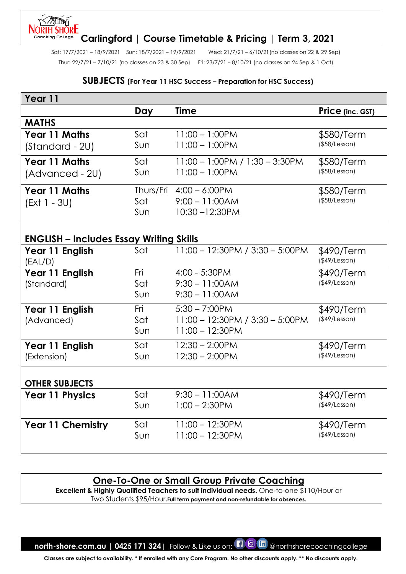#### **LING** NORTH SHŌRE **Carlingford | Course Timetable & Pricing | Term 3, 2021** Coaching College

Sat: 17/7/2021 – 18/9/2021 Sun: 18/7/2021 – 19/9/2021 Wed: 21/7/21 – 6/10/21(no classes on 22 & 29 Sep) Thur: 22/7/21 – 7/10/21 (no classes on 23 & 30 Sep) Fri: 23/7/21 – 8/10/21 (no classes on 24 Sep & 1 Oct)

#### **SUBJECTS (For Year 11 HSC Success – Preparation for HSC Success)**

| Year 11                                        |     |                                      |                                   |
|------------------------------------------------|-----|--------------------------------------|-----------------------------------|
|                                                | Day | <b>Time</b>                          | Price (inc. GST)                  |
| <b>MATHS</b>                                   |     |                                      |                                   |
| <b>Year 11 Maths</b>                           | Sat | $11:00 - 1:00$ PM                    | \$580/Term                        |
| (Standard - 2U)                                | Sun | $11:00 - 1:00$ PM                    | $($ \$58/Lesson $)$               |
| <b>Year 11 Maths</b>                           | Sat | $11:00 - 1:00$ PM / $1:30 - 3:30$ PM | \$580/Term                        |
| (Advanced - 2U)                                | Sun | $11:00 - 1:00$ PM                    | $($ \$58/Lesson $)$               |
| Year 11 Maths                                  |     | Thurs/Fri 4:00 - 6:00PM              | \$580/Term                        |
| $(Ext 1 - 3U)$                                 | Sat | $9:00 - 11:00AM$                     | (\$58/Lesson)                     |
|                                                | Sun | 10:30-12:30PM                        |                                   |
|                                                |     |                                      |                                   |
| <b>ENGLISH - Includes Essay Writing Skills</b> |     |                                      |                                   |
| Year 11 English<br>(EAL/D)                     | Sat | $11:00 - 12:30PM / 3:30 - 5:00PM$    | \$490/Term<br>$($ \$49/Lesson $)$ |
| Year 11 English                                | Fri | 4:00 - 5:30PM                        | \$490/Term                        |
| (Standard)                                     | Sat | $9:30 - 11:00AM$                     | (\$49/Lesson)                     |
|                                                | Sun | $9:30 - 11:00AM$                     |                                   |
| Year 11 English                                | Fri | $5:30 - 7:00$ PM                     | \$490/Term                        |
| (Advanced)                                     | Sat | 11:00 - 12:30PM / 3:30 - 5:00PM      | (\$49/Lesson)                     |
|                                                | Sun | $11:00 - 12:30$ PM                   |                                   |
| Year 11 English                                | Sat | $12:30 - 2:00$ PM                    | \$490/Term                        |
| (Extension)                                    | Sun | $12:30 - 2:00$ PM                    | (\$49/Lesson)                     |
|                                                |     |                                      |                                   |
| <b>OTHER SUBJECTS</b>                          |     |                                      |                                   |
| <b>Year 11 Physics</b>                         | Sat | $9:30 - 11:00AM$                     | \$490/Term                        |
|                                                | Sun | $1:00 - 2:30$ PM                     | $($ \$49/Lesson $)$               |
| Year 11 Chemistry                              | Sat | $11:00 - 12:30PM$                    | \$490/Term                        |
|                                                | Sun | $11:00 - 12:30$ PM                   | $($ \$49/Lesson $)$               |
|                                                |     |                                      |                                   |

## **One-To-One or Small Group Private Coaching**

**Excellent & Highly Qualified Teachers to suit individual needs.** One-to-one \$110/Hour or Two Students \$95/Hour.**Full term payment and non-refundable for absences.**

**north-shore.com.au | 0425 171 324** | Follow & Like us on: **[1 0 In** @northshorecoachingcollege